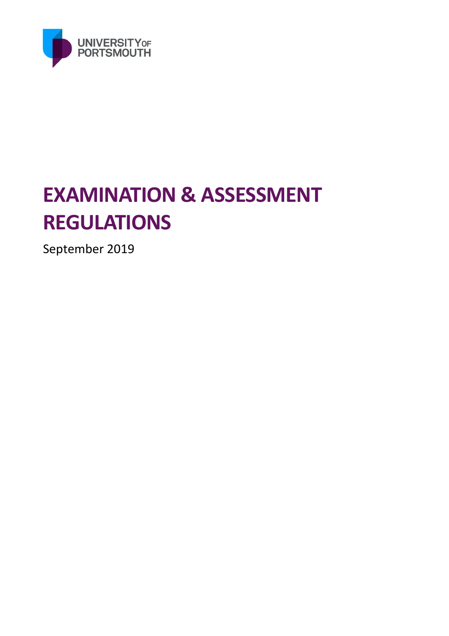

# **EXAMINATION & ASSESSMENT REGULATIONS**

September 2019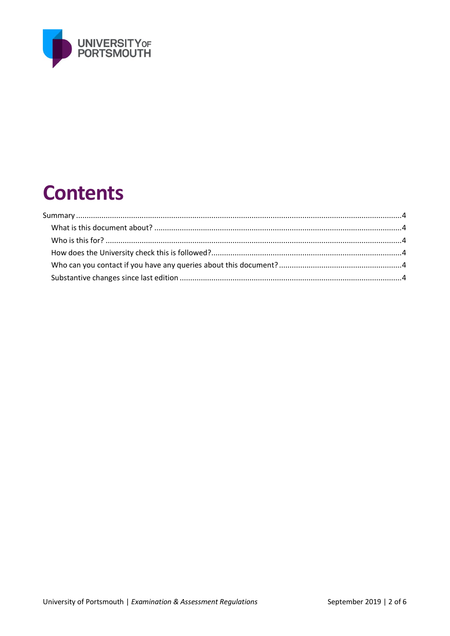

## **Contents**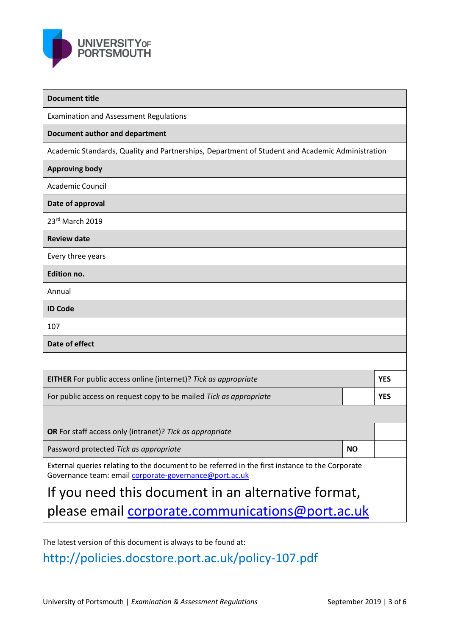

| <b>Document title</b>                                                                                                                                     |                                                         |            |  |  |
|-----------------------------------------------------------------------------------------------------------------------------------------------------------|---------------------------------------------------------|------------|--|--|
| <b>Examination and Assessment Regulations</b>                                                                                                             |                                                         |            |  |  |
| Document author and department                                                                                                                            |                                                         |            |  |  |
| Academic Standards, Quality and Partnerships, Department of Student and Academic Administration                                                           |                                                         |            |  |  |
| <b>Approving body</b>                                                                                                                                     |                                                         |            |  |  |
| <b>Academic Council</b>                                                                                                                                   |                                                         |            |  |  |
| Date of approval                                                                                                                                          |                                                         |            |  |  |
| 23rd March 2019                                                                                                                                           |                                                         |            |  |  |
| <b>Review date</b>                                                                                                                                        |                                                         |            |  |  |
| Every three years                                                                                                                                         |                                                         |            |  |  |
| <b>Edition no.</b>                                                                                                                                        |                                                         |            |  |  |
| Annual                                                                                                                                                    |                                                         |            |  |  |
| <b>ID Code</b>                                                                                                                                            |                                                         |            |  |  |
| 107                                                                                                                                                       |                                                         |            |  |  |
| Date of effect                                                                                                                                            |                                                         |            |  |  |
|                                                                                                                                                           |                                                         |            |  |  |
| EITHER For public access online (internet)? Tick as appropriate                                                                                           |                                                         | <b>YES</b> |  |  |
| For public access on request copy to be mailed Tick as appropriate                                                                                        |                                                         | <b>YES</b> |  |  |
|                                                                                                                                                           |                                                         |            |  |  |
| OR For staff access only (intranet)? Tick as appropriate                                                                                                  |                                                         |            |  |  |
| Password protected Tick as appropriate                                                                                                                    | <b>NO</b>                                               |            |  |  |
| External queries relating to the document to be referred in the first instance to the Corporate<br>Governance team: email corporate-governance@port.ac.uk |                                                         |            |  |  |
| If you need this document in an alternative format,                                                                                                       |                                                         |            |  |  |
|                                                                                                                                                           | please email <b>corporate.communications@port.ac.uk</b> |            |  |  |

The latest version of this document is always to be found at:

http://policies.docstore.port.ac.uk/policy-107.pdf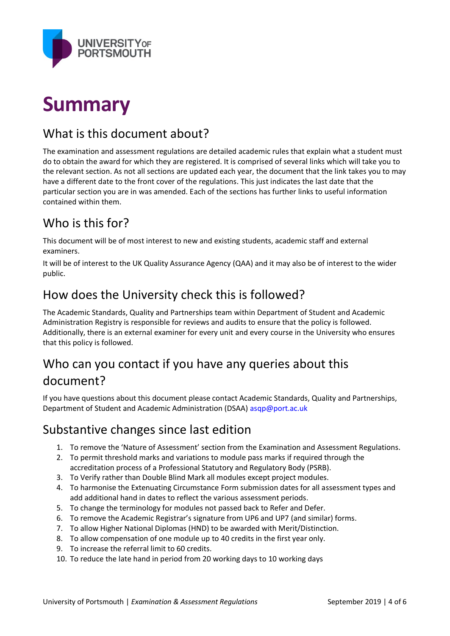

### **Summary**

#### What is this document about?

The examination and assessment regulations are detailed academic rules that explain what a student must do to obtain the award for which they are registered. It is comprised of several links which will take you to the relevant section. As not all sections are updated each year, the document that the link takes you to may have a different date to the front cover of the regulations. This just indicates the last date that the particular section you are in was amended. Each of the sections has further links to useful information contained within them.

#### Who is this for?

This document will be of most interest to new and existing students, academic staff and external examiners.

It will be of interest to the UK Quality Assurance Agency (QAA) and it may also be of interest to the wider public.

#### How does the University check this is followed?

The Academic Standards, Quality and Partnerships team within Department of Student and Academic Administration Registry is responsible for reviews and audits to ensure that the policy is followed. Additionally, there is an external examiner for every unit and every course in the University who ensures that this policy is followed.

#### Who can you contact if you have any queries about this document?

If you have questions about this document please contact Academic Standards, Quality and Partnerships, Department of Student and Academic Administration (DSAA) asqp@port.ac.uk

#### Substantive changes since last edition

- 1. To remove the 'Nature of Assessment' section from the Examination and Assessment Regulations.
- 2. To permit threshold marks and variations to module pass marks if required through the accreditation process of a Professional Statutory and Regulatory Body (PSRB).
- 3. To Verify rather than Double Blind Mark all modules except project modules.
- 4. To harmonise the Extenuating Circumstance Form submission dates for all assessment types and add additional hand in dates to reflect the various assessment periods.
- 5. To change the terminology for modules not passed back to Refer and Defer.
- 6. To remove the Academic Registrar's signature from UP6 and UP7 (and similar) forms.
- 7. To allow Higher National Diplomas (HND) to be awarded with Merit/Distinction.
- 8. To allow compensation of one module up to 40 credits in the first year only.
- 9. To increase the referral limit to 60 credits.
- 10. To reduce the late hand in period from 20 working days to 10 working days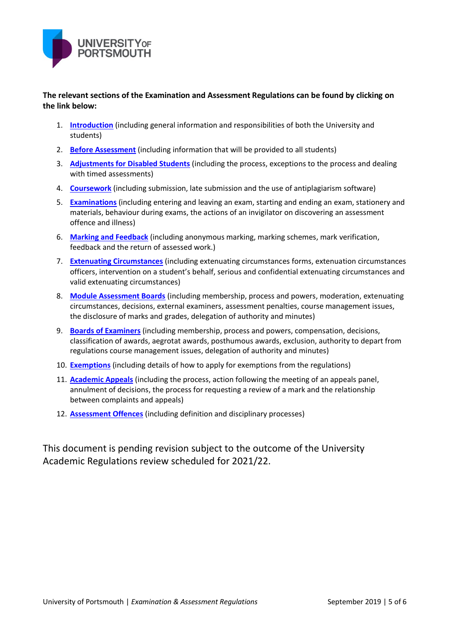

**The relevant sections of the Examination and Assessment Regulations can be found by clicking on the link below:**

- 1. **[Introduction](http://regulations.docstore.port.ac.uk/ExamRegs1Introduction.pdf)** (including general information and responsibilities of both the University and students)
- 2. **[Before Assessment](http://regulations.docstore.port.ac.uk/ExamRegs2BeforeAssessment.pdf)** (including information that will be provided to all students)
- 3. **[Adjustments for Disabled Students](http://regulations.docstore.port.ac.uk/ExamRegs3AdjustmentforDisabledStudents.pdf)** (including the process, exceptions to the process and dealing with timed assessments)
- 4. **[Coursework](http://regulations.docstore.port.ac.uk/ExamRegs4Coursework.pdf)** (including submission, late submission and the use of antiplagiarism software)
- 5. **[Examinations](http://regulations.docstore.port.ac.uk/ExamRegs5Examinations.pdf)** (including entering and leaving an exam, starting and ending an exam, stationery and materials, behaviour during exams, the actions of an invigilator on discovering an assessment offence and illness)
- 6. **[Marking and Feedback](http://regulations.docstore.port.ac.uk/ExamRegs6MarkingFeedback.pdf)** (including anonymous marking, marking schemes, mark verification, feedback and the return of assessed work.)
- 7. **[Extenuating Circumstances](http://regulations.docstore.port.ac.uk/ExamRegs7ExtenuatingCircumstances.pdf)** (including extenuating circumstances forms, extenuation circumstances officers, intervention on a student's behalf, serious and confidential extenuating circumstances and valid extenuating circumstances)
- 8. **[Module Assessment Boards](http://regulations.docstore.port.ac.uk/ExamRegs8ModuleAssessmentBoards.pdf)** (including membership, process and powers, moderation, extenuating circumstances, decisions, external examiners, assessment penalties, course management issues, the disclosure of marks and grades, delegation of authority and minutes)
- 9. **[Boards of Examiners](http://regulations.docstore.port.ac.uk/ExamRegs9BoardofExaminers.pdf)** (including membership, process and powers, compensation, decisions, classification of awards, aegrotat awards, posthumous awards, exclusion, authority to depart from regulations course management issues, delegation of authority and minutes)
- 10. **[Exemptions](http://regulations.docstore.port.ac.uk/ExamRegs10Exemptions.pdf)** (including details of how to apply for exemptions from the regulations)
- 11. **[Academic Appeals](http://regulations.docstore.port.ac.uk/ExamRegs11AcademicAppeals.pdf)** (including the process, action following the meeting of an appeals panel, annulment of decisions, the process for requesting a review of a mark and the relationship between complaints and appeals)
- 12. **[Assessment Offences](http://regulations.docstore.port.ac.uk/ExamRegs12AssessmentOffences.pdf)** (including definition and disciplinary processes)

This document is pending revision subject to the outcome of the University Academic Regulations review scheduled for 2021/22.